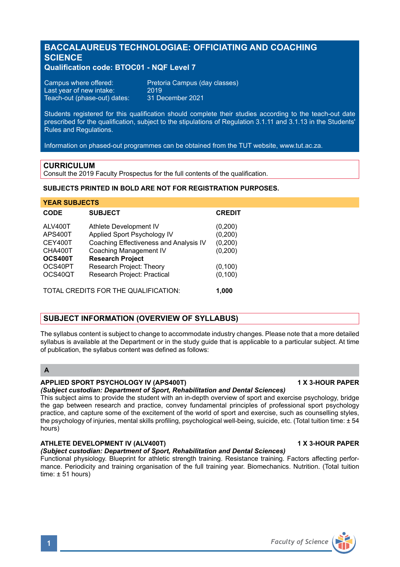# **BACCALAUREUS TECHNOLOGIAE: OFFICIATING AND COACHING SCIENCE**

## **Qualification code: BTOC01 - NQF Level 7**

| Campus where offered:        | Preto |
|------------------------------|-------|
| Last year of new intake:     | 2019  |
| Teach-out (phase-out) dates: | 31 D  |

Pretoria Campus (day classes)<br>2019 31 December 2021

Students registered for this qualification should complete their studies according to the teach-out date prescribed for the qualification, subject to the stipulations of Regulation 3.1.11 and 3.1.13 in the Students' Rules and Regulations.

Information on phased-out programmes can be obtained from the TUT website, www.tut.ac.za.

## **CURRICULUM**

Consult the 2019 Faculty Prospectus for the full contents of the qualification.

## **SUBJECTS PRINTED IN BOLD ARE NOT FOR REGISTRATION PURPOSES.**

| <b>YEAR SUBJECTS</b> |                                        |               |  |
|----------------------|----------------------------------------|---------------|--|
| <b>CODE</b>          | <b>SUBJECT</b>                         | <b>CREDIT</b> |  |
| ALV400T              | Athlete Development IV                 | (0,200)       |  |
| APS400T              | Applied Sport Psychology IV            | (0, 200)      |  |
| CEY400T              | Coaching Effectiveness and Analysis IV | (0, 200)      |  |
| CHA400T              | Coaching Management IV                 | (0, 200)      |  |
| OCS400T              | <b>Research Project</b>                |               |  |
| OCS40PT              | Research Project: Theory               | (0, 100)      |  |
| OCS40QT              | Research Project: Practical            | (0, 100)      |  |
|                      | TOTAL CREDITS FOR THE QUALIFICATION:   | 1.000         |  |

## **SUBJECT INFORMATION (OVERVIEW OF SYLLABUS)**

The syllabus content is subject to change to accommodate industry changes. Please note that a more detailed syllabus is available at the Department or in the study quide that is applicable to a particular subject. At time of publication, the syllabus content was defined as follows:

## **A**

#### **APPLIED SPORT PSYCHOLOGY IV (APS400T) 1 X 3-HOUR PAPER**

## *(Subject custodian: Department of Sport, Rehabilitation and Dental Sciences)*

This subject aims to provide the student with an in-depth overview of sport and exercise psychology, bridge the gap between research and practice, convey fundamental principles of professional sport psychology practice, and capture some of the excitement of the world of sport and exercise, such as counselling styles, the psychology of injuries, mental skills profiling, psychological well-being, suicide, etc. (Total tuition time: ± 54 hours)

## ATHLETE DEVELOPMENT IV (ALV400T) **1 ATHLETE DEVELOPMENT IV**

### *(Subject custodian: Department of Sport, Rehabilitation and Dental Sciences)*

Functional physiology. Blueprint for athletic strength training. Resistance training. Factors affecting performance. Periodicity and training organisation of the full training year. Biomechanics. Nutrition. (Total tuition time:  $\pm$  51 hours)